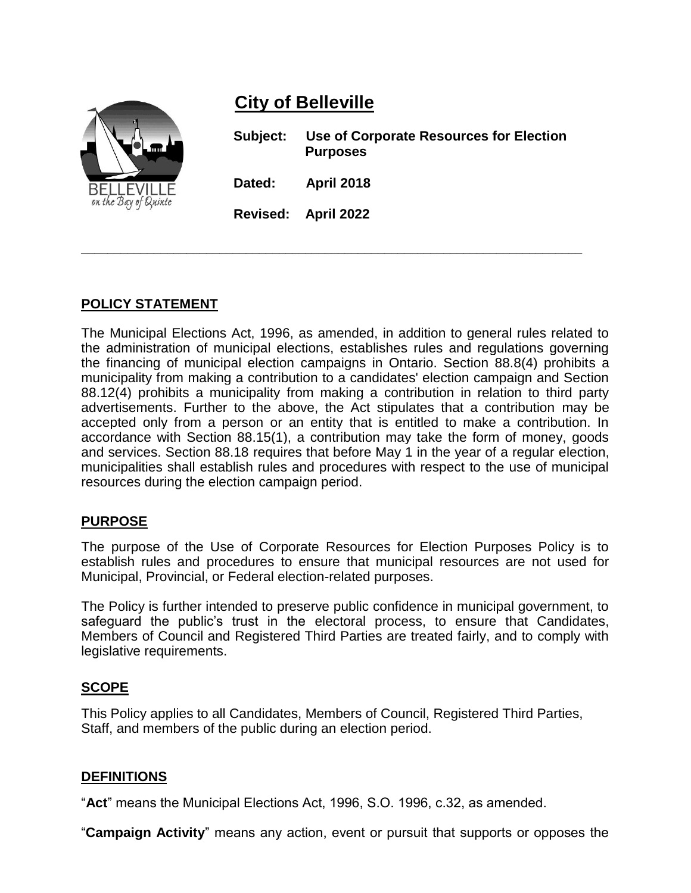# **City of Belleville**



**Subject: Use of Corporate Resources for Election Purposes Dated: April 2018 Revised: April 2022**

# **POLICY STATEMENT**

The Municipal Elections Act, 1996, as amended, in addition to general rules related to the administration of municipal elections, establishes rules and regulations governing the financing of municipal election campaigns in Ontario. Section 88.8(4) prohibits a municipality from making a contribution to a candidates' election campaign and Section 88.12(4) prohibits a municipality from making a contribution in relation to third party advertisements. Further to the above, the Act stipulates that a contribution may be accepted only from a person or an entity that is entitled to make a contribution. In accordance with Section 88.15(1), a contribution may take the form of money, goods and services. Section 88.18 requires that before May 1 in the year of a regular election, municipalities shall establish rules and procedures with respect to the use of municipal resources during the election campaign period.

\_\_\_\_\_\_\_\_\_\_\_\_\_\_\_\_\_\_\_\_\_\_\_\_\_\_\_\_\_\_\_\_\_\_\_\_\_\_\_\_\_\_\_\_\_\_\_\_\_\_\_\_\_\_\_\_\_\_\_\_\_\_\_\_\_\_\_\_\_\_\_\_\_\_\_\_

## **PURPOSE**

The purpose of the Use of Corporate Resources for Election Purposes Policy is to establish rules and procedures to ensure that municipal resources are not used for Municipal, Provincial, or Federal election-related purposes.

The Policy is further intended to preserve public confidence in municipal government, to safeguard the public's trust in the electoral process, to ensure that Candidates, Members of Council and Registered Third Parties are treated fairly, and to comply with legislative requirements.

## **SCOPE**

This Policy applies to all Candidates, Members of Council, Registered Third Parties, Staff, and members of the public during an election period.

## **DEFINITIONS**

"**Act**" means the Municipal Elections Act, 1996, S.O. 1996, c.32, as amended.

"**Campaign Activity**" means any action, event or pursuit that supports or opposes the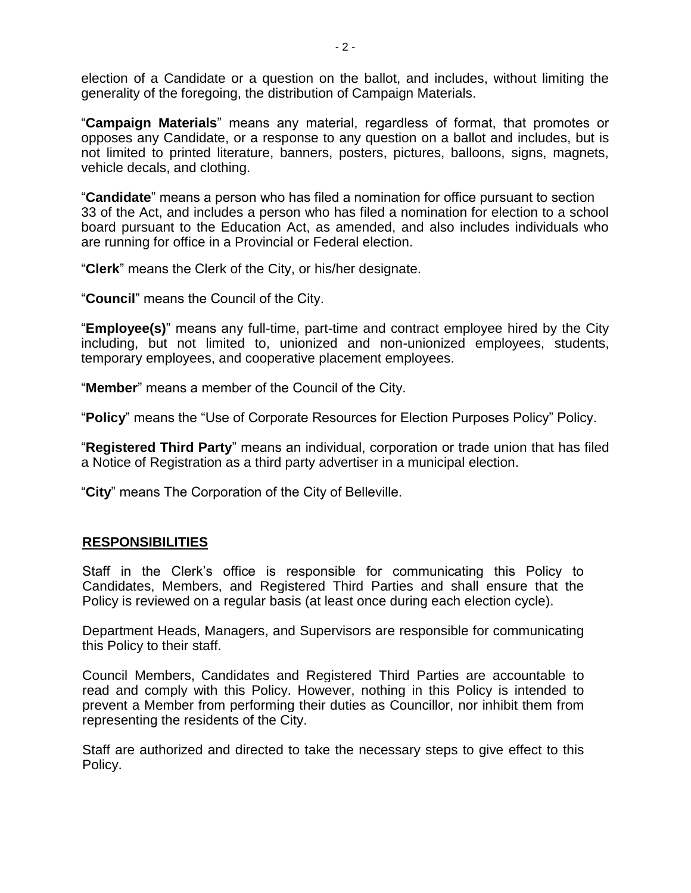election of a Candidate or a question on the ballot, and includes, without limiting the generality of the foregoing, the distribution of Campaign Materials.

"**Campaign Materials**" means any material, regardless of format, that promotes or opposes any Candidate, or a response to any question on a ballot and includes, but is not limited to printed literature, banners, posters, pictures, balloons, signs, magnets, vehicle decals, and clothing.

"**Candidate**" means a person who has filed a nomination for office pursuant to section 33 of the Act, and includes a person who has filed a nomination for election to a school board pursuant to the Education Act, as amended, and also includes individuals who are running for office in a Provincial or Federal election.

"**Clerk**" means the Clerk of the City, or his/her designate.

"**Council**" means the Council of the City.

"**Employee(s)**" means any full-time, part-time and contract employee hired by the City including, but not limited to, unionized and non-unionized employees, students, temporary employees, and cooperative placement employees.

"**Member**" means a member of the Council of the City.

"**Policy**" means the "Use of Corporate Resources for Election Purposes Policy" Policy.

"**Registered Third Party**" means an individual, corporation or trade union that has filed a Notice of Registration as a third party advertiser in a municipal election.

"**City**" means The Corporation of the City of Belleville.

## **RESPONSIBILITIES**

Staff in the Clerk's office is responsible for communicating this Policy to Candidates, Members, and Registered Third Parties and shall ensure that the Policy is reviewed on a regular basis (at least once during each election cycle).

Department Heads, Managers, and Supervisors are responsible for communicating this Policy to their staff.

Council Members, Candidates and Registered Third Parties are accountable to read and comply with this Policy. However, nothing in this Policy is intended to prevent a Member from performing their duties as Councillor, nor inhibit them from representing the residents of the City.

Staff are authorized and directed to take the necessary steps to give effect to this Policy.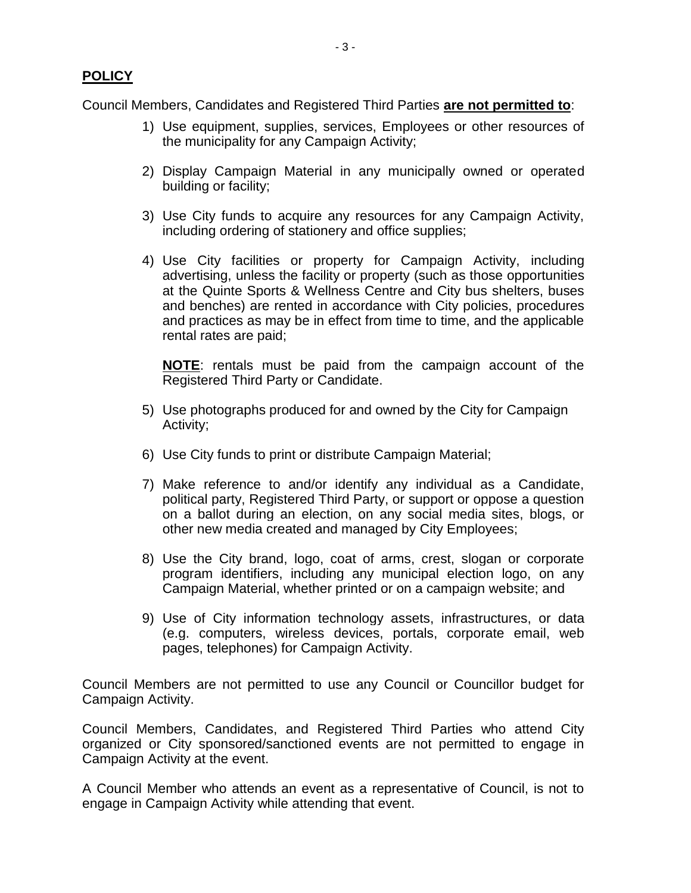Council Members, Candidates and Registered Third Parties **are not permitted to**:

- 1) Use equipment, supplies, services, Employees or other resources of the municipality for any Campaign Activity;
- 2) Display Campaign Material in any municipally owned or operated building or facility;
- 3) Use City funds to acquire any resources for any Campaign Activity, including ordering of stationery and office supplies;
- 4) Use City facilities or property for Campaign Activity, including advertising, unless the facility or property (such as those opportunities at the Quinte Sports & Wellness Centre and City bus shelters, buses and benches) are rented in accordance with City policies, procedures and practices as may be in effect from time to time, and the applicable rental rates are paid;

**NOTE**: rentals must be paid from the campaign account of the Registered Third Party or Candidate.

- 5) Use photographs produced for and owned by the City for Campaign Activity;
- 6) Use City funds to print or distribute Campaign Material;
- 7) Make reference to and/or identify any individual as a Candidate, political party, Registered Third Party, or support or oppose a question on a ballot during an election, on any social media sites, blogs, or other new media created and managed by City Employees;
- 8) Use the City brand, logo, coat of arms, crest, slogan or corporate program identifiers, including any municipal election logo, on any Campaign Material, whether printed or on a campaign website; and
- 9) Use of City information technology assets, infrastructures, or data (e.g. computers, wireless devices, portals, corporate email, web pages, telephones) for Campaign Activity.

Council Members are not permitted to use any Council or Councillor budget for Campaign Activity.

Council Members, Candidates, and Registered Third Parties who attend City organized or City sponsored/sanctioned events are not permitted to engage in Campaign Activity at the event.

A Council Member who attends an event as a representative of Council, is not to engage in Campaign Activity while attending that event.